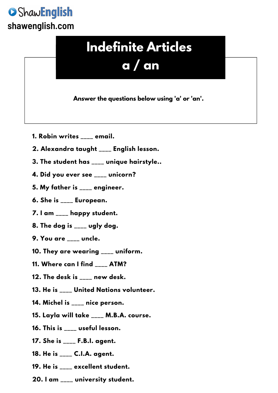## ShawEnglish **shawenglish.com**

## **Indefinite Articles a / an**

**Answer the questions below using 'a' or 'an'.**

- **1. Robin writes \_\_\_\_ email.**
- **2. Alexandra taught \_\_\_\_ English lesson.**
- **3. The student has \_\_\_\_ unique hairstyle..**
- **4. Did you ever see \_\_\_\_ unicorn?**
- **5. My father is \_\_\_\_ engineer.**
- **6. She is \_\_\_\_ European.**
- **7. I am \_\_\_\_ happy student.**
- **8. The dog is \_\_\_\_ ugly dog.**
- **9. You are \_\_\_\_ uncle.**
- **10. They are wearing \_\_\_\_ uniform.**
- **11. Where can I find \_\_\_\_ ATM?**
- **12. The desk is \_\_\_\_ new desk.**
- **13. He is \_\_\_\_ United Nations volunteer.**
- **14. Michel is \_\_\_\_ nice person.**
- **15. Layla will take \_\_\_\_ M.B.A. course.**
- **16. This is \_\_\_\_ useful lesson.**
- **17. She is \_\_\_\_ F.B.I. agent.**
- **18. He is \_\_\_\_ C.I.A. agent.**
- **19. He is \_\_\_\_ excellent student.**
- **20. I am \_\_\_\_ university student.**